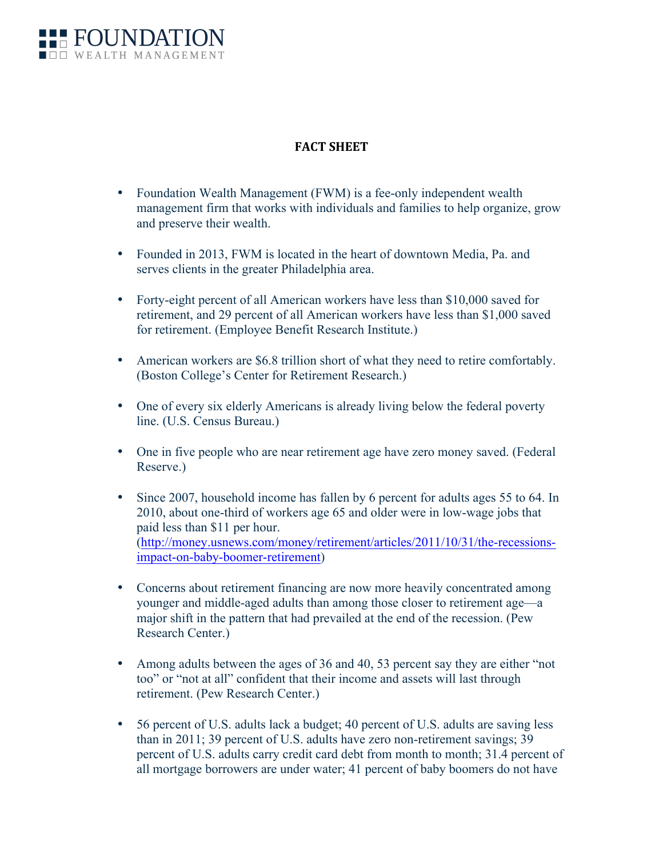

## **FACT SHEET**

- Foundation Wealth Management (FWM) is a fee-only independent wealth management firm that works with individuals and families to help organize, grow and preserve their wealth.
- Founded in 2013, FWM is located in the heart of downtown Media, Pa. and serves clients in the greater Philadelphia area.
- Forty-eight percent of all American workers have less than \$10,000 saved for retirement, and 29 percent of all American workers have less than \$1,000 saved for retirement. (Employee Benefit Research Institute.)
- American workers are \$6.8 trillion short of what they need to retire comfortably. (Boston College's Center for Retirement Research.)
- One of every six elderly Americans is already living below the federal poverty line. (U.S. Census Bureau.)
- One in five people who are near retirement age have zero money saved. (Federal Reserve.)
- Since 2007, household income has fallen by 6 percent for adults ages 55 to 64. In 2010, about one-third of workers age 65 and older were in low-wage jobs that paid less than \$11 per hour. (http://money.usnews.com/money/retirement/articles/2011/10/31/the-recessionsimpact-on-baby-boomer-retirement)
- Concerns about retirement financing are now more heavily concentrated among younger and middle-aged adults than among those closer to retirement age—a major shift in the pattern that had prevailed at the end of the recession. (Pew Research Center.)
- Among adults between the ages of 36 and 40, 53 percent say they are either "not" too" or "not at all" confident that their income and assets will last through retirement. (Pew Research Center.)
- 56 percent of U.S. adults lack a budget; 40 percent of U.S. adults are saving less than in 2011; 39 percent of U.S. adults have zero non-retirement savings; 39 percent of U.S. adults carry credit card debt from month to month; 31.4 percent of all mortgage borrowers are under water; 41 percent of baby boomers do not have